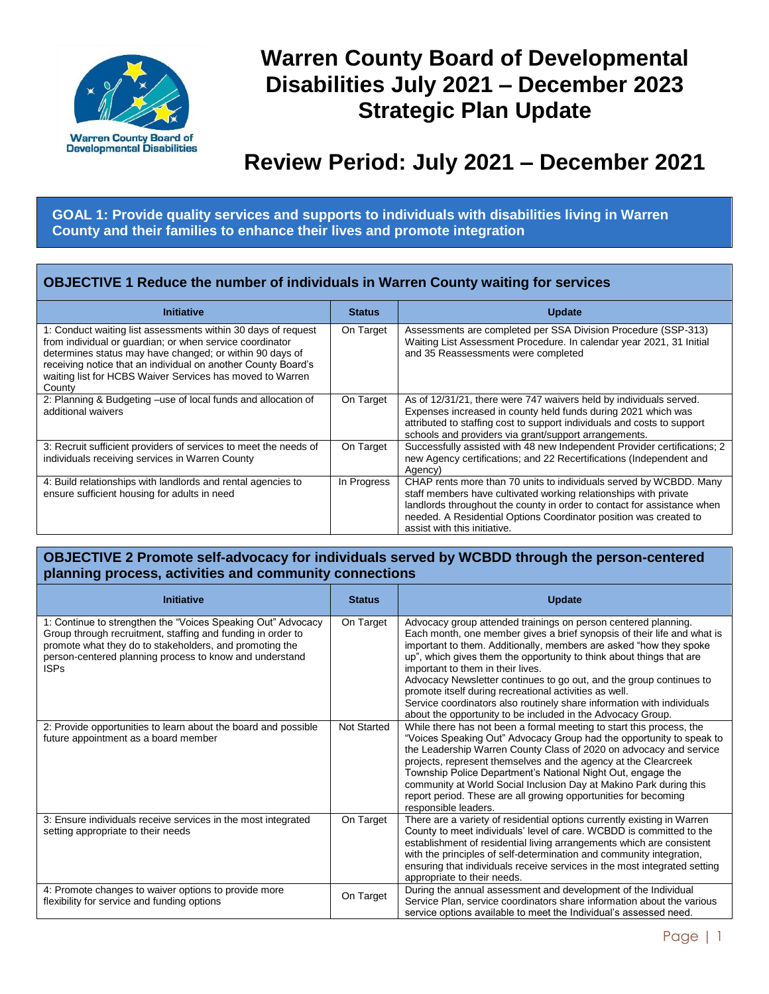

# **Warren County Board of Developmental Disabilities July 2021 – December 2023 Strategic Plan Update**

# **Review Period: July 2021 – December 2021**

**GOAL 1: Provide quality services and supports to individuals with disabilities living in Warren County and their families to enhance their lives and promote integration**

## **OBJECTIVE 1 Reduce the number of individuals in Warren County waiting for services**

| <b>Initiative</b>                                                                                                                                                                                                                                                                                                             | <b>Status</b> | <b>Update</b>                                                                                                                                                                                                                                                                                                          |
|-------------------------------------------------------------------------------------------------------------------------------------------------------------------------------------------------------------------------------------------------------------------------------------------------------------------------------|---------------|------------------------------------------------------------------------------------------------------------------------------------------------------------------------------------------------------------------------------------------------------------------------------------------------------------------------|
| 1: Conduct waiting list assessments within 30 days of request<br>from individual or quardian; or when service coordinator<br>determines status may have changed; or within 90 days of<br>receiving notice that an individual on another County Board's<br>waiting list for HCBS Waiver Services has moved to Warren<br>County | On Target     | Assessments are completed per SSA Division Procedure (SSP-313)<br>Waiting List Assessment Procedure. In calendar year 2021, 31 Initial<br>and 35 Reassessments were completed                                                                                                                                          |
| 2: Planning & Budgeting -use of local funds and allocation of<br>additional waivers                                                                                                                                                                                                                                           | On Target     | As of 12/31/21, there were 747 waivers held by individuals served.<br>Expenses increased in county held funds during 2021 which was<br>attributed to staffing cost to support individuals and costs to support<br>schools and providers via grant/support arrangements.                                                |
| 3: Recruit sufficient providers of services to meet the needs of<br>individuals receiving services in Warren County                                                                                                                                                                                                           | On Target     | Successfully assisted with 48 new Independent Provider certifications; 2<br>new Agency certifications; and 22 Recertifications (Independent and<br>Agency)                                                                                                                                                             |
| 4: Build relationships with landlords and rental agencies to<br>ensure sufficient housing for adults in need                                                                                                                                                                                                                  | In Progress   | CHAP rents more than 70 units to individuals served by WCBDD. Many<br>staff members have cultivated working relationships with private<br>landlords throughout the county in order to contact for assistance when<br>needed. A Residential Options Coordinator position was created to<br>assist with this initiative. |

#### **OBJECTIVE 2 Promote self-advocacy for individuals served by WCBDD through the person-centered planning process, activities and community connections**

| <b>Initiative</b>                                                                                                                                                                                                                                                | <b>Status</b>      | <b>Update</b>                                                                                                                                                                                                                                                                                                                                                                                                                                                                                                                                                                                          |
|------------------------------------------------------------------------------------------------------------------------------------------------------------------------------------------------------------------------------------------------------------------|--------------------|--------------------------------------------------------------------------------------------------------------------------------------------------------------------------------------------------------------------------------------------------------------------------------------------------------------------------------------------------------------------------------------------------------------------------------------------------------------------------------------------------------------------------------------------------------------------------------------------------------|
| 1: Continue to strengthen the "Voices Speaking Out" Advocacy<br>Group through recruitment, staffing and funding in order to<br>promote what they do to stakeholders, and promoting the<br>person-centered planning process to know and understand<br><b>ISPs</b> | On Target          | Advocacy group attended trainings on person centered planning.<br>Each month, one member gives a brief synopsis of their life and what is<br>important to them. Additionally, members are asked "how they spoke<br>up", which gives them the opportunity to think about things that are<br>important to them in their lives.<br>Advocacy Newsletter continues to go out, and the group continues to<br>promote itself during recreational activities as well.<br>Service coordinators also routinely share information with individuals<br>about the opportunity to be included in the Advocacy Group. |
| 2: Provide opportunities to learn about the board and possible<br>future appointment as a board member                                                                                                                                                           | <b>Not Started</b> | While there has not been a formal meeting to start this process, the<br>"Voices Speaking Out" Advocacy Group had the opportunity to speak to<br>the Leadership Warren County Class of 2020 on advocacy and service<br>projects, represent themselves and the agency at the Clearcreek<br>Township Police Department's National Night Out, engage the<br>community at World Social Inclusion Day at Makino Park during this<br>report period. These are all growing opportunities for becoming<br>responsible leaders.                                                                                  |
| 3: Ensure individuals receive services in the most integrated<br>setting appropriate to their needs                                                                                                                                                              | On Target          | There are a variety of residential options currently existing in Warren<br>County to meet individuals' level of care. WCBDD is committed to the<br>establishment of residential living arrangements which are consistent<br>with the principles of self-determination and community integration,<br>ensuring that individuals receive services in the most integrated setting<br>appropriate to their needs.                                                                                                                                                                                           |
| 4: Promote changes to waiver options to provide more<br>flexibility for service and funding options                                                                                                                                                              | On Target          | During the annual assessment and development of the Individual<br>Service Plan, service coordinators share information about the various<br>service options available to meet the Individual's assessed need.                                                                                                                                                                                                                                                                                                                                                                                          |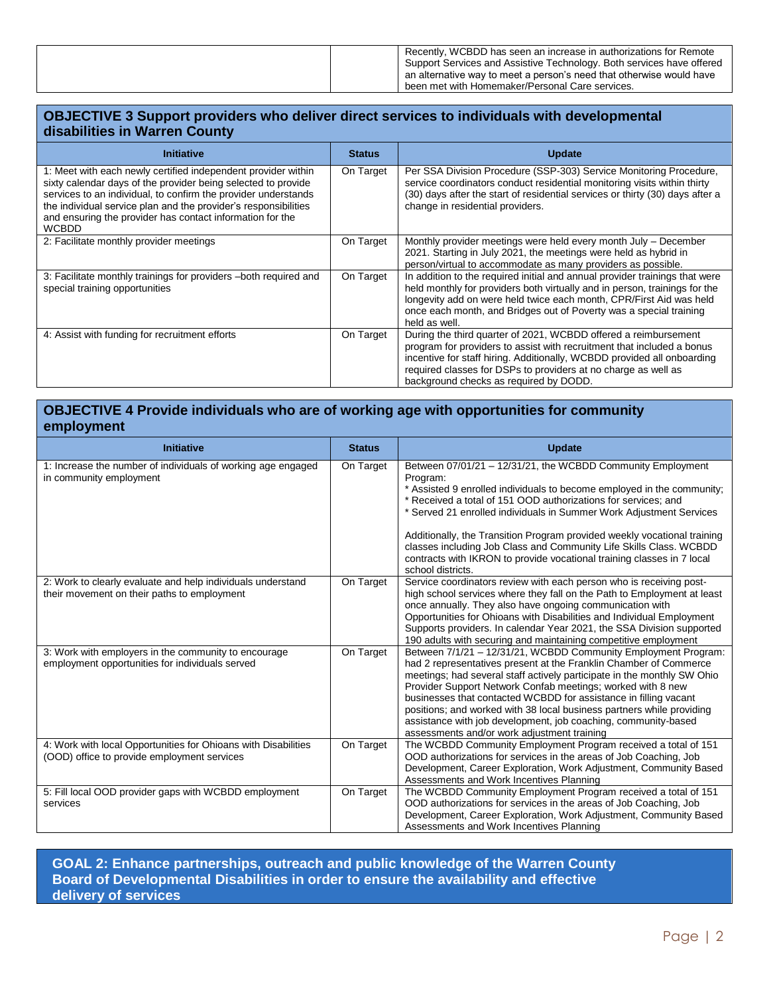| Recently, WCBDD has seen an increase in authorizations for Remote     |
|-----------------------------------------------------------------------|
| Support Services and Assistive Technology. Both services have offered |
| an alternative way to meet a person's need that otherwise would have  |
| been met with Homemaker/Personal Care services.                       |

#### **OBJECTIVE 3 Support providers who deliver direct services to individuals with developmental disabilities in Warren County**

| <b>Initiative</b>                                                                                                                                                                                                                                                                                                                                | <b>Status</b> | <b>Update</b>                                                                                                                                                                                                                                                                                                                    |
|--------------------------------------------------------------------------------------------------------------------------------------------------------------------------------------------------------------------------------------------------------------------------------------------------------------------------------------------------|---------------|----------------------------------------------------------------------------------------------------------------------------------------------------------------------------------------------------------------------------------------------------------------------------------------------------------------------------------|
| 1: Meet with each newly certified independent provider within<br>sixty calendar days of the provider being selected to provide<br>services to an individual, to confirm the provider understands<br>the individual service plan and the provider's responsibilities<br>and ensuring the provider has contact information for the<br><b>WCBDD</b> | On Target     | Per SSA Division Procedure (SSP-303) Service Monitoring Procedure.<br>service coordinators conduct residential monitoring visits within thirty<br>(30) days after the start of residential services or thirty (30) days after a<br>change in residential providers.                                                              |
| 2: Facilitate monthly provider meetings                                                                                                                                                                                                                                                                                                          | On Target     | Monthly provider meetings were held every month July - December<br>2021. Starting in July 2021, the meetings were held as hybrid in<br>person/virtual to accommodate as many providers as possible.                                                                                                                              |
| 3: Facilitate monthly trainings for providers -both required and<br>special training opportunities                                                                                                                                                                                                                                               | On Target     | In addition to the required initial and annual provider trainings that were<br>held monthly for providers both virtually and in person, trainings for the<br>longevity add on were held twice each month, CPR/First Aid was held<br>once each month, and Bridges out of Poverty was a special training<br>held as well.          |
| 4: Assist with funding for recruitment efforts                                                                                                                                                                                                                                                                                                   | On Target     | During the third quarter of 2021, WCBDD offered a reimbursement<br>program for providers to assist with recruitment that included a bonus<br>incentive for staff hiring. Additionally, WCBDD provided all onboarding<br>required classes for DSPs to providers at no charge as well as<br>background checks as required by DODD. |

## **OBJECTIVE 4 Provide individuals who are of working age with opportunities for community employment**

| <b>Initiative</b>                                                                                             | <b>Status</b> | <b>Update</b>                                                                                                                                                                                                                                                                                                                                                                                                                                                                                                                               |
|---------------------------------------------------------------------------------------------------------------|---------------|---------------------------------------------------------------------------------------------------------------------------------------------------------------------------------------------------------------------------------------------------------------------------------------------------------------------------------------------------------------------------------------------------------------------------------------------------------------------------------------------------------------------------------------------|
| 1: Increase the number of individuals of working age engaged<br>in community employment                       | On Target     | Between 07/01/21 - 12/31/21, the WCBDD Community Employment<br>Program:<br>* Assisted 9 enrolled individuals to become employed in the community;<br>* Received a total of 151 OOD authorizations for services: and<br>* Served 21 enrolled individuals in Summer Work Adjustment Services<br>Additionally, the Transition Program provided weekly vocational training<br>classes including Job Class and Community Life Skills Class. WCBDD<br>contracts with IKRON to provide vocational training classes in 7 local<br>school districts. |
| 2: Work to clearly evaluate and help individuals understand<br>their movement on their paths to employment    | On Target     | Service coordinators review with each person who is receiving post-<br>high school services where they fall on the Path to Employment at least<br>once annually. They also have ongoing communication with<br>Opportunities for Ohioans with Disabilities and Individual Employment<br>Supports providers. In calendar Year 2021, the SSA Division supported<br>190 adults with securing and maintaining competitive employment                                                                                                             |
| 3: Work with employers in the community to encourage<br>employment opportunities for individuals served       | On Target     | Between 7/1/21 - 12/31/21, WCBDD Community Employment Program:<br>had 2 representatives present at the Franklin Chamber of Commerce<br>meetings; had several staff actively participate in the monthly SW Ohio<br>Provider Support Network Confab meetings; worked with 8 new<br>businesses that contacted WCBDD for assistance in filling vacant<br>positions; and worked with 38 local business partners while providing<br>assistance with job development, job coaching, community-based<br>assessments and/or work adjustment training |
| 4: Work with local Opportunities for Ohioans with Disabilities<br>(OOD) office to provide employment services | On Target     | The WCBDD Community Employment Program received a total of 151<br>OOD authorizations for services in the areas of Job Coaching, Job<br>Development, Career Exploration, Work Adjustment, Community Based<br>Assessments and Work Incentives Planning                                                                                                                                                                                                                                                                                        |
| 5: Fill local OOD provider gaps with WCBDD employment<br>services                                             | On Target     | The WCBDD Community Employment Program received a total of 151<br>OOD authorizations for services in the areas of Job Coaching, Job<br>Development, Career Exploration, Work Adjustment, Community Based<br>Assessments and Work Incentives Planning                                                                                                                                                                                                                                                                                        |

**GOAL 2: Enhance partnerships, outreach and public knowledge of the Warren County Board of Developmental Disabilities in order to ensure the availability and effective delivery of services**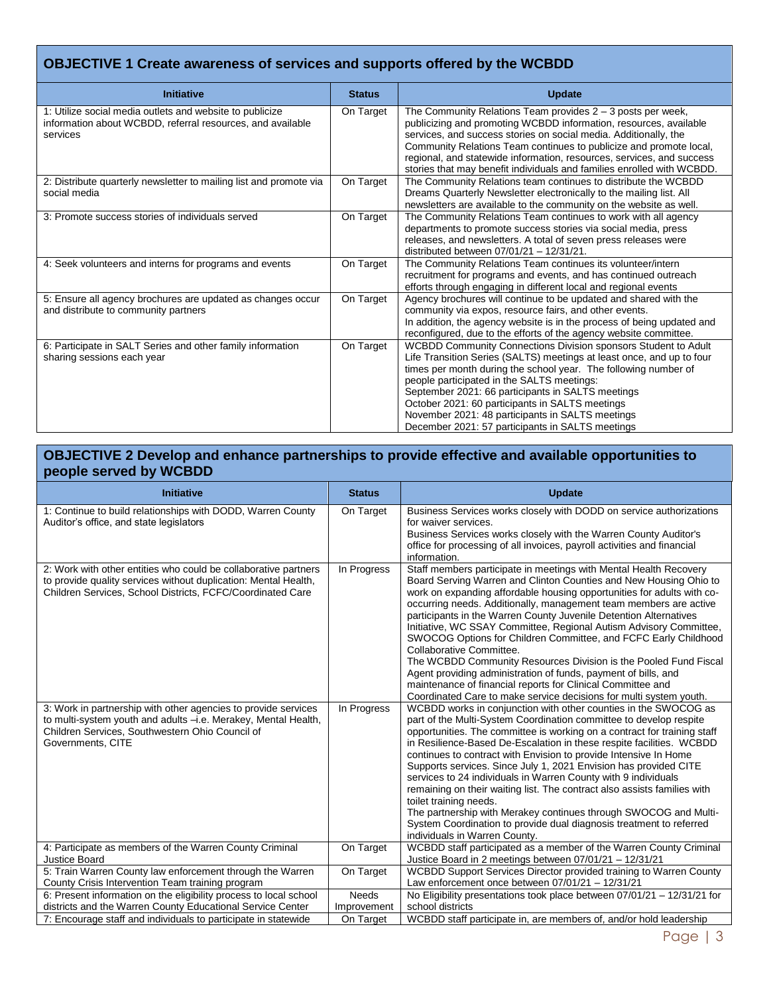# **OBJECTIVE 1 Create awareness of services and supports offered by the WCBDD**

| <b>Initiative</b>                                                                                                                  | <b>Status</b> | <b>Update</b>                                                                                                                                                                                                                                                                                                                                                                                                                                                            |
|------------------------------------------------------------------------------------------------------------------------------------|---------------|--------------------------------------------------------------------------------------------------------------------------------------------------------------------------------------------------------------------------------------------------------------------------------------------------------------------------------------------------------------------------------------------------------------------------------------------------------------------------|
| 1: Utilize social media outlets and website to publicize<br>information about WCBDD, referral resources, and available<br>services | On Target     | The Community Relations Team provides $2 - 3$ posts per week,<br>publicizing and promoting WCBDD information, resources, available<br>services, and success stories on social media. Additionally, the<br>Community Relations Team continues to publicize and promote local,<br>regional, and statewide information, resources, services, and success<br>stories that may benefit individuals and families enrolled with WCBDD.                                          |
| 2: Distribute quarterly newsletter to mailing list and promote via<br>social media                                                 | On Target     | The Community Relations team continues to distribute the WCBDD<br>Dreams Quarterly Newsletter electronically to the mailing list. All<br>newsletters are available to the community on the website as well.                                                                                                                                                                                                                                                              |
| 3: Promote success stories of individuals served                                                                                   | On Target     | The Community Relations Team continues to work with all agency<br>departments to promote success stories via social media, press<br>releases, and newsletters. A total of seven press releases were<br>distributed between 07/01/21 - 12/31/21.                                                                                                                                                                                                                          |
| 4: Seek volunteers and interns for programs and events                                                                             | On Target     | The Community Relations Team continues its volunteer/intern<br>recruitment for programs and events, and has continued outreach<br>efforts through engaging in different local and regional events                                                                                                                                                                                                                                                                        |
| 5: Ensure all agency brochures are updated as changes occur<br>and distribute to community partners                                | On Target     | Agency brochures will continue to be updated and shared with the<br>community via expos, resource fairs, and other events.<br>In addition, the agency website is in the process of being updated and<br>reconfigured, due to the efforts of the agency website committee.                                                                                                                                                                                                |
| 6: Participate in SALT Series and other family information<br>sharing sessions each year                                           | On Target     | WCBDD Community Connections Division sponsors Student to Adult<br>Life Transition Series (SALTS) meetings at least once, and up to four<br>times per month during the school year. The following number of<br>people participated in the SALTS meetings:<br>September 2021: 66 participants in SALTS meetings<br>October 2021: 60 participants in SALTS meetings<br>November 2021: 48 participants in SALTS meetings<br>December 2021: 57 participants in SALTS meetings |

#### **OBJECTIVE 2 Develop and enhance partnerships to provide effective and available opportunities to people served by WCBDD**

| <b>Initiative</b>                                                                                                                                                                                        | <b>Status</b>               | <b>Update</b>                                                                                                                                                                                                                                                                                                                                                                                                                                                                                                                                                                                                                                                                                                                                                                                              |
|----------------------------------------------------------------------------------------------------------------------------------------------------------------------------------------------------------|-----------------------------|------------------------------------------------------------------------------------------------------------------------------------------------------------------------------------------------------------------------------------------------------------------------------------------------------------------------------------------------------------------------------------------------------------------------------------------------------------------------------------------------------------------------------------------------------------------------------------------------------------------------------------------------------------------------------------------------------------------------------------------------------------------------------------------------------------|
| 1: Continue to build relationships with DODD, Warren County<br>Auditor's office, and state legislators                                                                                                   | On Target                   | Business Services works closely with DODD on service authorizations<br>for waiver services.<br>Business Services works closely with the Warren County Auditor's<br>office for processing of all invoices, payroll activities and financial<br>information.                                                                                                                                                                                                                                                                                                                                                                                                                                                                                                                                                 |
| 2: Work with other entities who could be collaborative partners<br>to provide quality services without duplication: Mental Health,<br>Children Services, School Districts, FCFC/Coordinated Care         | In Progress                 | Staff members participate in meetings with Mental Health Recovery<br>Board Serving Warren and Clinton Counties and New Housing Ohio to<br>work on expanding affordable housing opportunities for adults with co-<br>occurring needs. Additionally, management team members are active<br>participants in the Warren County Juvenile Detention Alternatives<br>Initiative, WC SSAY Committee, Regional Autism Advisory Committee,<br>SWOCOG Options for Children Committee, and FCFC Early Childhood<br>Collaborative Committee.<br>The WCBDD Community Resources Division is the Pooled Fund Fiscal<br>Agent providing administration of funds, payment of bills, and<br>maintenance of financial reports for Clinical Committee and<br>Coordinated Care to make service decisions for multi system youth. |
| 3: Work in partnership with other agencies to provide services<br>to multi-system youth and adults -i.e. Merakey, Mental Health,<br>Children Services, Southwestern Ohio Council of<br>Governments, CITE | In Progress                 | WCBDD works in conjunction with other counties in the SWOCOG as<br>part of the Multi-System Coordination committee to develop respite<br>opportunities. The committee is working on a contract for training staff<br>in Resilience-Based De-Escalation in these respite facilities. WCBDD<br>continues to contract with Envision to provide Intensive In Home<br>Supports services. Since July 1, 2021 Envision has provided CITE<br>services to 24 individuals in Warren County with 9 individuals<br>remaining on their waiting list. The contract also assists families with<br>toilet training needs.<br>The partnership with Merakey continues through SWOCOG and Multi-<br>System Coordination to provide dual diagnosis treatment to referred<br>individuals in Warren County.                      |
| 4: Participate as members of the Warren County Criminal<br><b>Justice Board</b>                                                                                                                          | On Target                   | WCBDD staff participated as a member of the Warren County Criminal<br>Justice Board in 2 meetings between 07/01/21 - 12/31/21                                                                                                                                                                                                                                                                                                                                                                                                                                                                                                                                                                                                                                                                              |
| 5: Train Warren County law enforcement through the Warren<br>County Crisis Intervention Team training program                                                                                            | On Target                   | WCBDD Support Services Director provided training to Warren County<br>Law enforcement once between $07/01/21 - 12/31/21$                                                                                                                                                                                                                                                                                                                                                                                                                                                                                                                                                                                                                                                                                   |
| 6: Present information on the eligibility process to local school<br>districts and the Warren County Educational Service Center                                                                          | <b>Needs</b><br>Improvement | No Eligibility presentations took place between $07/01/21 - 12/31/21$ for<br>school districts                                                                                                                                                                                                                                                                                                                                                                                                                                                                                                                                                                                                                                                                                                              |
| 7: Encourage staff and individuals to participate in statewide                                                                                                                                           | On Target                   | WCBDD staff participate in, are members of, and/or hold leadership                                                                                                                                                                                                                                                                                                                                                                                                                                                                                                                                                                                                                                                                                                                                         |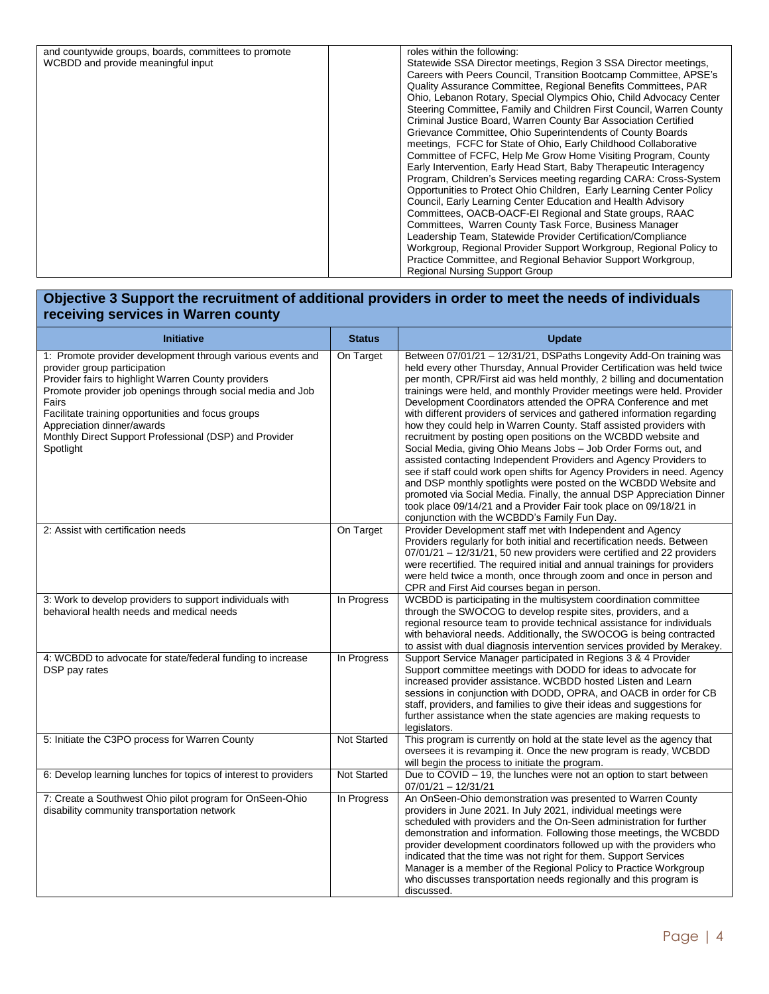| and countywide groups, boards, committees to promote | roles within the following:                                          |
|------------------------------------------------------|----------------------------------------------------------------------|
| WCBDD and provide meaningful input                   | Statewide SSA Director meetings, Region 3 SSA Director meetings,     |
|                                                      | Careers with Peers Council, Transition Bootcamp Committee, APSE's    |
|                                                      | Quality Assurance Committee, Regional Benefits Committees, PAR       |
|                                                      | Ohio, Lebanon Rotary, Special Olympics Ohio, Child Advocacy Center   |
|                                                      | Steering Committee, Family and Children First Council, Warren County |
|                                                      | Criminal Justice Board, Warren County Bar Association Certified      |
|                                                      | Grievance Committee, Ohio Superintendents of County Boards           |
|                                                      | meetings, FCFC for State of Ohio, Early Childhood Collaborative      |
|                                                      | Committee of FCFC, Help Me Grow Home Visiting Program, County        |
|                                                      | Early Intervention, Early Head Start, Baby Therapeutic Interagency   |
|                                                      | Program, Children's Services meeting regarding CARA: Cross-System    |
|                                                      | Opportunities to Protect Ohio Children, Early Learning Center Policy |
|                                                      | Council, Early Learning Center Education and Health Advisory         |
|                                                      | Committees, OACB-OACF-EI Regional and State groups, RAAC             |
|                                                      | Committees, Warren County Task Force, Business Manager               |
|                                                      | Leadership Team, Statewide Provider Certification/Compliance         |
|                                                      | Workgroup, Regional Provider Support Workgroup, Regional Policy to   |
|                                                      | Practice Committee, and Regional Behavior Support Workgroup,         |
|                                                      | <b>Regional Nursing Support Group</b>                                |
|                                                      |                                                                      |

#### **Objective 3 Support the recruitment of additional providers in order to meet the needs of individuals receiving services in Warren county**

| <b>Initiative</b>                                                                                                                                                                                                                                                                                                                                                                   | <b>Status</b>      | <b>Update</b>                                                                                                                                                                                                                                                                                                                                                                                                                                                                                                                                                                                                                                                                                                                                                                                                                                                                                                                                                                                                                                                                |
|-------------------------------------------------------------------------------------------------------------------------------------------------------------------------------------------------------------------------------------------------------------------------------------------------------------------------------------------------------------------------------------|--------------------|------------------------------------------------------------------------------------------------------------------------------------------------------------------------------------------------------------------------------------------------------------------------------------------------------------------------------------------------------------------------------------------------------------------------------------------------------------------------------------------------------------------------------------------------------------------------------------------------------------------------------------------------------------------------------------------------------------------------------------------------------------------------------------------------------------------------------------------------------------------------------------------------------------------------------------------------------------------------------------------------------------------------------------------------------------------------------|
| 1: Promote provider development through various events and<br>provider group participation<br>Provider fairs to highlight Warren County providers<br>Promote provider job openings through social media and Job<br>Fairs<br>Facilitate training opportunities and focus groups<br>Appreciation dinner/awards<br>Monthly Direct Support Professional (DSP) and Provider<br>Spotlight | On Target          | Between 07/01/21 - 12/31/21, DSPaths Longevity Add-On training was<br>held every other Thursday, Annual Provider Certification was held twice<br>per month, CPR/First aid was held monthly, 2 billing and documentation<br>trainings were held, and monthly Provider meetings were held. Provider<br>Development Coordinators attended the OPRA Conference and met<br>with different providers of services and gathered information regarding<br>how they could help in Warren County. Staff assisted providers with<br>recruitment by posting open positions on the WCBDD website and<br>Social Media, giving Ohio Means Jobs - Job Order Forms out, and<br>assisted contacting Independent Providers and Agency Providers to<br>see if staff could work open shifts for Agency Providers in need. Agency<br>and DSP monthly spotlights were posted on the WCBDD Website and<br>promoted via Social Media. Finally, the annual DSP Appreciation Dinner<br>took place 09/14/21 and a Provider Fair took place on 09/18/21 in<br>conjunction with the WCBDD's Family Fun Day. |
| 2: Assist with certification needs                                                                                                                                                                                                                                                                                                                                                  | On Target          | Provider Development staff met with Independent and Agency<br>Providers regularly for both initial and recertification needs. Between<br>07/01/21 - 12/31/21, 50 new providers were certified and 22 providers<br>were recertified. The required initial and annual trainings for providers<br>were held twice a month, once through zoom and once in person and<br>CPR and First Aid courses began in person.                                                                                                                                                                                                                                                                                                                                                                                                                                                                                                                                                                                                                                                               |
| 3: Work to develop providers to support individuals with<br>behavioral health needs and medical needs                                                                                                                                                                                                                                                                               | In Progress        | WCBDD is participating in the multisystem coordination committee<br>through the SWOCOG to develop respite sites, providers, and a<br>regional resource team to provide technical assistance for individuals<br>with behavioral needs. Additionally, the SWOCOG is being contracted<br>to assist with dual diagnosis intervention services provided by Merakey.                                                                                                                                                                                                                                                                                                                                                                                                                                                                                                                                                                                                                                                                                                               |
| 4: WCBDD to advocate for state/federal funding to increase<br>DSP pay rates                                                                                                                                                                                                                                                                                                         | In Progress        | Support Service Manager participated in Regions 3 & 4 Provider<br>Support committee meetings with DODD for ideas to advocate for<br>increased provider assistance. WCBDD hosted Listen and Learn<br>sessions in conjunction with DODD, OPRA, and OACB in order for CB<br>staff, providers, and families to give their ideas and suggestions for<br>further assistance when the state agencies are making requests to<br>legislators.                                                                                                                                                                                                                                                                                                                                                                                                                                                                                                                                                                                                                                         |
| 5: Initiate the C3PO process for Warren County                                                                                                                                                                                                                                                                                                                                      | Not Started        | This program is currently on hold at the state level as the agency that<br>oversees it is revamping it. Once the new program is ready, WCBDD<br>will begin the process to initiate the program.                                                                                                                                                                                                                                                                                                                                                                                                                                                                                                                                                                                                                                                                                                                                                                                                                                                                              |
| 6: Develop learning lunches for topics of interest to providers                                                                                                                                                                                                                                                                                                                     | <b>Not Started</b> | Due to $COVID - 19$ , the lunches were not an option to start between<br>$07/01/21 - 12/31/21$                                                                                                                                                                                                                                                                                                                                                                                                                                                                                                                                                                                                                                                                                                                                                                                                                                                                                                                                                                               |
| 7: Create a Southwest Ohio pilot program for OnSeen-Ohio<br>disability community transportation network                                                                                                                                                                                                                                                                             | In Progress        | An OnSeen-Ohio demonstration was presented to Warren County<br>providers in June 2021. In July 2021, individual meetings were<br>scheduled with providers and the On-Seen administration for further<br>demonstration and information. Following those meetings, the WCBDD<br>provider development coordinators followed up with the providers who<br>indicated that the time was not right for them. Support Services<br>Manager is a member of the Regional Policy to Practice Workgroup<br>who discusses transportation needs regionally and this program is<br>discussed.                                                                                                                                                                                                                                                                                                                                                                                                                                                                                                |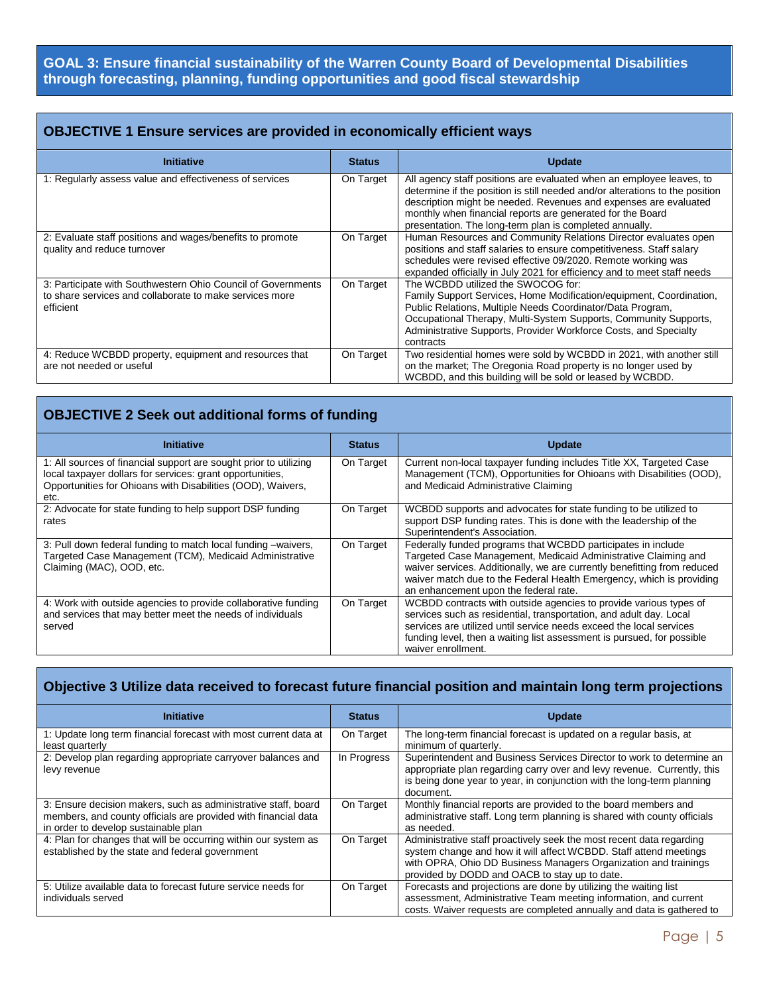## **GOAL 3: Ensure financial sustainability of the Warren County Board of Developmental Disabilities through forecasting, planning, funding opportunities and good fiscal stewardship**

## **OBJECTIVE 1 Ensure services are provided in economically efficient ways**

| <b>Initiative</b>                                                                                                                    | <b>Status</b> | <b>Update</b>                                                                                                                                                                                                                                                                                                                                     |
|--------------------------------------------------------------------------------------------------------------------------------------|---------------|---------------------------------------------------------------------------------------------------------------------------------------------------------------------------------------------------------------------------------------------------------------------------------------------------------------------------------------------------|
| 1: Regularly assess value and effectiveness of services                                                                              | On Target     | All agency staff positions are evaluated when an employee leaves, to<br>determine if the position is still needed and/or alterations to the position<br>description might be needed. Revenues and expenses are evaluated<br>monthly when financial reports are generated for the Board<br>presentation. The long-term plan is completed annually. |
| 2: Evaluate staff positions and wages/benefits to promote<br>quality and reduce turnover                                             | On Target     | Human Resources and Community Relations Director evaluates open<br>positions and staff salaries to ensure competitiveness. Staff salary<br>schedules were revised effective 09/2020. Remote working was<br>expanded officially in July 2021 for efficiency and to meet staff needs                                                                |
| 3: Participate with Southwestern Ohio Council of Governments<br>to share services and collaborate to make services more<br>efficient | On Target     | The WCBDD utilized the SWOCOG for:<br>Family Support Services, Home Modification/equipment, Coordination,<br>Public Relations, Multiple Needs Coordinator/Data Program,<br>Occupational Therapy, Multi-System Supports, Community Supports,<br>Administrative Supports, Provider Workforce Costs, and Specialty<br>contracts                      |
| 4: Reduce WCBDD property, equipment and resources that<br>are not needed or useful                                                   | On Target     | Two residential homes were sold by WCBDD in 2021, with another still<br>on the market; The Oregonia Road property is no longer used by<br>WCBDD, and this building will be sold or leased by WCBDD.                                                                                                                                               |

## **OBJECTIVE 2 Seek out additional forms of funding**

| <b>Initiative</b>                                                                                                                                                                                     | <b>Status</b> | <b>Update</b>                                                                                                                                                                                                                                                                                                               |
|-------------------------------------------------------------------------------------------------------------------------------------------------------------------------------------------------------|---------------|-----------------------------------------------------------------------------------------------------------------------------------------------------------------------------------------------------------------------------------------------------------------------------------------------------------------------------|
| 1: All sources of financial support are sought prior to utilizing<br>local taxpayer dollars for services: grant opportunities,<br>Opportunities for Ohioans with Disabilities (OOD), Waivers,<br>etc. | On Target     | Current non-local taxpayer funding includes Title XX, Targeted Case<br>Management (TCM), Opportunities for Ohioans with Disabilities (OOD),<br>and Medicaid Administrative Claiming                                                                                                                                         |
| 2: Advocate for state funding to help support DSP funding<br>rates                                                                                                                                    | On Target     | WCBDD supports and advocates for state funding to be utilized to<br>support DSP funding rates. This is done with the leadership of the<br>Superintendent's Association.                                                                                                                                                     |
| 3: Pull down federal funding to match local funding -waivers,<br>Targeted Case Management (TCM), Medicaid Administrative<br>Claiming (MAC), OOD, etc.                                                 | On Target     | Federally funded programs that WCBDD participates in include<br>Targeted Case Management, Medicaid Administrative Claiming and<br>waiver services. Additionally, we are currently benefitting from reduced<br>waiver match due to the Federal Health Emergency, which is providing<br>an enhancement upon the federal rate. |
| 4: Work with outside agencies to provide collaborative funding<br>and services that may better meet the needs of individuals<br>served                                                                | On Target     | WCBDD contracts with outside agencies to provide various types of<br>services such as residential, transportation, and adult day. Local<br>services are utilized until service needs exceed the local services<br>funding level, then a waiting list assessment is pursued, for possible<br>waiver enrollment.              |

## **Objective 3 Utilize data received to forecast future financial position and maintain long term projections**

| <b>Initiative</b>                                                                                                                                                        | <b>Status</b> | <b>Update</b>                                                                                                                                                                                                                                                 |
|--------------------------------------------------------------------------------------------------------------------------------------------------------------------------|---------------|---------------------------------------------------------------------------------------------------------------------------------------------------------------------------------------------------------------------------------------------------------------|
| 1: Update long term financial forecast with most current data at<br>least quarterly                                                                                      | On Target     | The long-term financial forecast is updated on a regular basis, at<br>minimum of quarterly.                                                                                                                                                                   |
| 2: Develop plan regarding appropriate carryover balances and<br>levy revenue                                                                                             | In Progress   | Superintendent and Business Services Director to work to determine an<br>appropriate plan regarding carry over and levy revenue. Currently, this<br>is being done year to year, in conjunction with the long-term planning<br>document.                       |
| 3: Ensure decision makers, such as administrative staff, board<br>members, and county officials are provided with financial data<br>in order to develop sustainable plan | On Target     | Monthly financial reports are provided to the board members and<br>administrative staff. Long term planning is shared with county officials<br>as needed.                                                                                                     |
| 4: Plan for changes that will be occurring within our system as<br>established by the state and federal government                                                       | On Target     | Administrative staff proactively seek the most recent data regarding<br>system change and how it will affect WCBDD. Staff attend meetings<br>with OPRA, Ohio DD Business Managers Organization and trainings<br>provided by DODD and OACB to stay up to date. |
| 5: Utilize available data to forecast future service needs for<br>individuals served                                                                                     | On Target     | Forecasts and projections are done by utilizing the waiting list<br>assessment, Administrative Team meeting information, and current<br>costs. Waiver requests are completed annually and data is gathered to                                                 |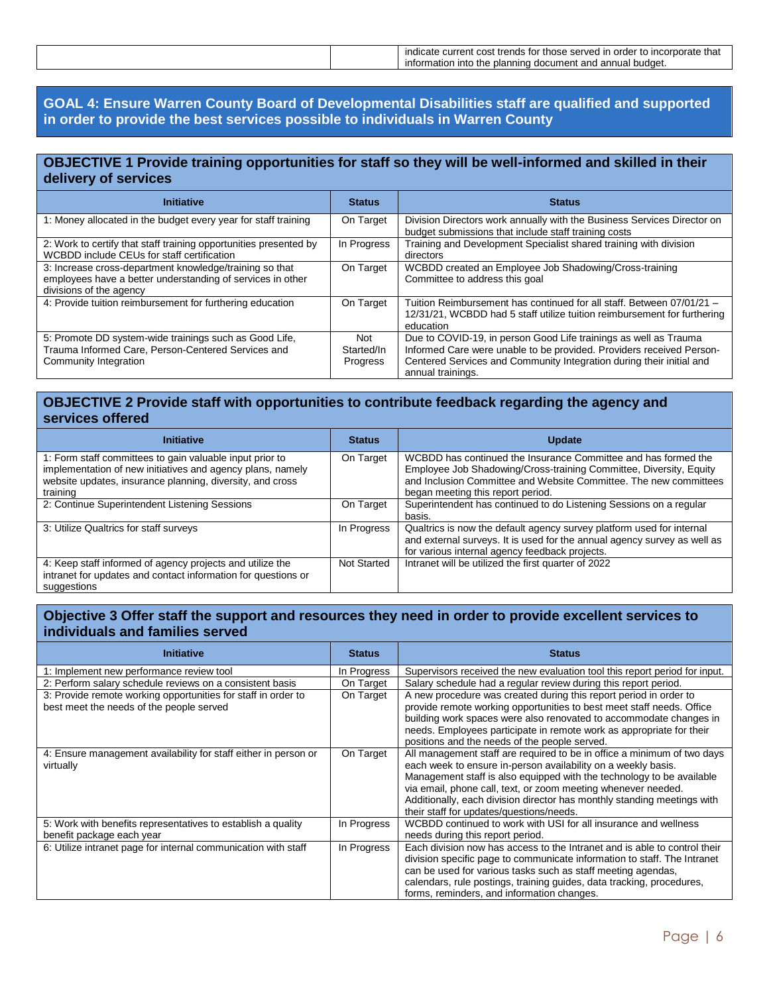| rate that<br>∶ trends<br>Server<br>ordei<br>cost<br>current<br>to inc<br>nose.<br>мсае<br>ושו |
|-----------------------------------------------------------------------------------------------|
| budget.<br>and<br>nninc<br>d annual<br>$\cdots$<br>information<br>plar<br>into the<br>documen |
|                                                                                               |

#### **GOAL 4: Ensure Warren County Board of Developmental Disabilities staff are qualified and supported in order to provide the best services possible to individuals in Warren County**

#### **OBJECTIVE 1 Provide training opportunities for staff so they will be well-informed and skilled in their delivery of services**

| <b>Initiative</b>                                                                                                                                | <b>Status</b>                        | <b>Status</b>                                                                                                                                                                                                                         |
|--------------------------------------------------------------------------------------------------------------------------------------------------|--------------------------------------|---------------------------------------------------------------------------------------------------------------------------------------------------------------------------------------------------------------------------------------|
| 1: Money allocated in the budget every year for staff training                                                                                   | On Target                            | Division Directors work annually with the Business Services Director on<br>budget submissions that include staff training costs                                                                                                       |
| 2: Work to certify that staff training opportunities presented by<br>WCBDD include CEUs for staff certification                                  | In Progress                          | Training and Development Specialist shared training with division<br>directors                                                                                                                                                        |
| 3: Increase cross-department knowledge/training so that<br>employees have a better understanding of services in other<br>divisions of the agency | On Target                            | WCBDD created an Employee Job Shadowing/Cross-training<br>Committee to address this goal                                                                                                                                              |
| 4: Provide tuition reimbursement for furthering education                                                                                        | On Target                            | Tuition Reimbursement has continued for all staff. Between 07/01/21 -<br>12/31/21, WCBDD had 5 staff utilize tuition reimbursement for furthering<br>education                                                                        |
| 5: Promote DD system-wide trainings such as Good Life,<br>Trauma Informed Care, Person-Centered Services and<br>Community Integration            | Not<br>Started/In<br><b>Progress</b> | Due to COVID-19, in person Good Life trainings as well as Trauma<br>Informed Care were unable to be provided. Providers received Person-<br>Centered Services and Community Integration during their initial and<br>annual trainings. |

#### **OBJECTIVE 2 Provide staff with opportunities to contribute feedback regarding the agency and services offered**

| <b>Initiative</b>                                                                                                                                                                               | <b>Status</b>      | <b>Update</b>                                                                                                                                                                                                                                  |
|-------------------------------------------------------------------------------------------------------------------------------------------------------------------------------------------------|--------------------|------------------------------------------------------------------------------------------------------------------------------------------------------------------------------------------------------------------------------------------------|
| 1: Form staff committees to gain valuable input prior to<br>implementation of new initiatives and agency plans, namely<br>website updates, insurance planning, diversity, and cross<br>training | On Target          | WCBDD has continued the Insurance Committee and has formed the<br>Employee Job Shadowing/Cross-training Committee, Diversity, Equity<br>and Inclusion Committee and Website Committee. The new committees<br>began meeting this report period. |
| 2: Continue Superintendent Listening Sessions                                                                                                                                                   | On Target          | Superintendent has continued to do Listening Sessions on a regular<br>basis.                                                                                                                                                                   |
| 3: Utilize Qualtrics for staff surveys                                                                                                                                                          | In Progress        | Qualtrics is now the default agency survey platform used for internal<br>and external surveys. It is used for the annual agency survey as well as<br>for various internal agency feedback projects.                                            |
| 4: Keep staff informed of agency projects and utilize the<br>intranet for updates and contact information for questions or<br>suggestions                                                       | <b>Not Started</b> | Intranet will be utilized the first quarter of 2022                                                                                                                                                                                            |

#### **Objective 3 Offer staff the support and resources they need in order to provide excellent services to individuals and families served**

| <b>Initiative</b>                                               | <b>Status</b> | <b>Status</b>                                                                                                                            |
|-----------------------------------------------------------------|---------------|------------------------------------------------------------------------------------------------------------------------------------------|
| 1: Implement new performance review tool                        | In Progress   | Supervisors received the new evaluation tool this report period for input.                                                               |
| 2: Perform salary schedule reviews on a consistent basis        | On Target     | Salary schedule had a regular review during this report period.                                                                          |
| 3: Provide remote working opportunities for staff in order to   | On Target     | A new procedure was created during this report period in order to                                                                        |
| best meet the needs of the people served                        |               | provide remote working opportunities to best meet staff needs. Office                                                                    |
|                                                                 |               | building work spaces were also renovated to accommodate changes in                                                                       |
|                                                                 |               | needs. Employees participate in remote work as appropriate for their                                                                     |
|                                                                 |               | positions and the needs of the people served.                                                                                            |
| 4: Ensure management availability for staff either in person or | On Target     | All management staff are required to be in office a minimum of two days                                                                  |
| virtually                                                       |               | each week to ensure in-person availability on a weekly basis.                                                                            |
|                                                                 |               | Management staff is also equipped with the technology to be available                                                                    |
|                                                                 |               | via email, phone call, text, or zoom meeting whenever needed.                                                                            |
|                                                                 |               | Additionally, each division director has monthly standing meetings with                                                                  |
|                                                                 |               | their staff for updates/questions/needs.                                                                                                 |
| 5: Work with benefits representatives to establish a quality    | In Progress   | WCBDD continued to work with USI for all insurance and wellness                                                                          |
| benefit package each year                                       |               | needs during this report period.                                                                                                         |
| 6: Utilize intranet page for internal communication with staff  | In Progress   | Each division now has access to the Intranet and is able to control their                                                                |
|                                                                 |               | division specific page to communicate information to staff. The Intranet<br>can be used for various tasks such as staff meeting agendas, |
|                                                                 |               | calendars, rule postings, training guides, data tracking, procedures,                                                                    |
|                                                                 |               |                                                                                                                                          |
|                                                                 |               | forms, reminders, and information changes.                                                                                               |